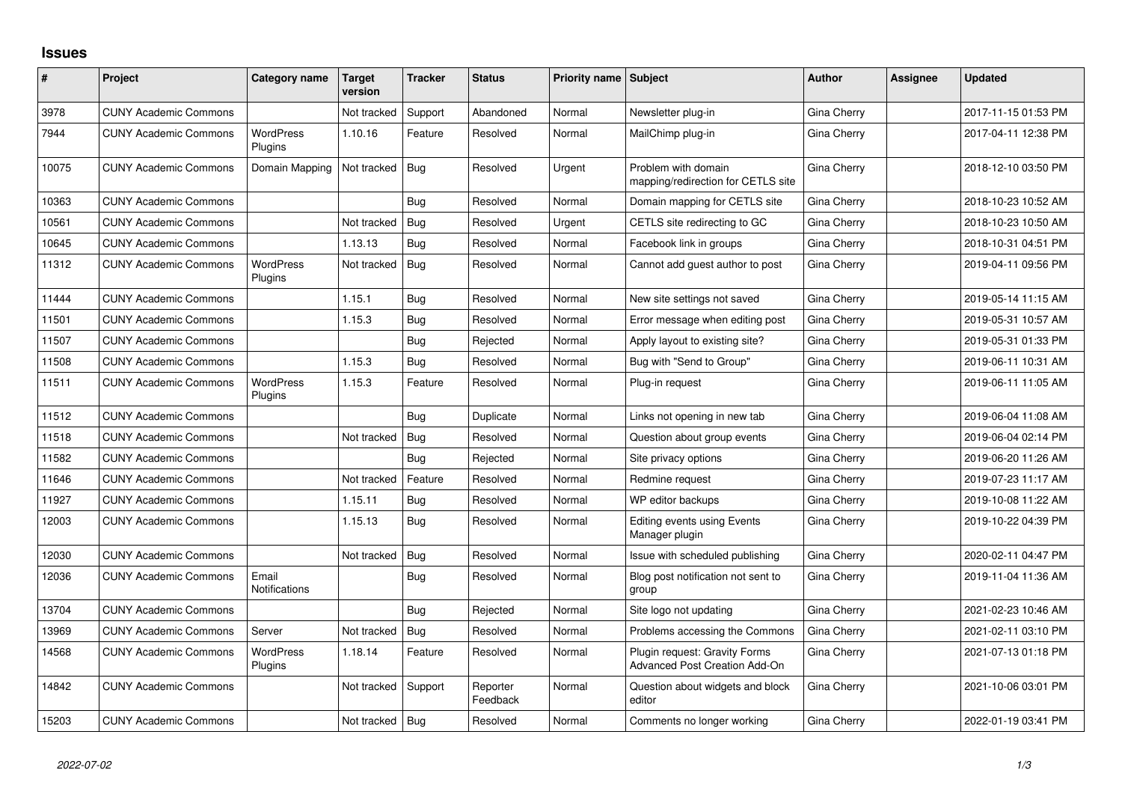## **Issues**

| #     | Project                      | Category name               | <b>Target</b><br>version | <b>Tracker</b> | <b>Status</b>        | Priority name Subject |                                                                | <b>Author</b> | Assignee | <b>Updated</b>      |
|-------|------------------------------|-----------------------------|--------------------------|----------------|----------------------|-----------------------|----------------------------------------------------------------|---------------|----------|---------------------|
| 3978  | <b>CUNY Academic Commons</b> |                             | Not tracked              | Support        | Abandoned            | Normal                | Newsletter plug-in                                             | Gina Cherry   |          | 2017-11-15 01:53 PM |
| 7944  | <b>CUNY Academic Commons</b> | <b>WordPress</b><br>Plugins | 1.10.16                  | Feature        | Resolved             | Normal                | MailChimp plug-in                                              | Gina Cherry   |          | 2017-04-11 12:38 PM |
| 10075 | <b>CUNY Academic Commons</b> | Domain Mapping              | Not tracked              | Bug            | Resolved             | Urgent                | Problem with domain<br>mapping/redirection for CETLS site      | Gina Cherry   |          | 2018-12-10 03:50 PM |
| 10363 | <b>CUNY Academic Commons</b> |                             |                          | Bug            | Resolved             | Normal                | Domain mapping for CETLS site                                  | Gina Cherry   |          | 2018-10-23 10:52 AM |
| 10561 | <b>CUNY Academic Commons</b> |                             | Not tracked              | <b>Bug</b>     | Resolved             | Urgent                | CETLS site redirecting to GC                                   | Gina Cherry   |          | 2018-10-23 10:50 AM |
| 10645 | <b>CUNY Academic Commons</b> |                             | 1.13.13                  | Bug            | Resolved             | Normal                | Facebook link in groups                                        | Gina Cherry   |          | 2018-10-31 04:51 PM |
| 11312 | <b>CUNY Academic Commons</b> | <b>WordPress</b><br>Plugins | Not tracked              | Bug            | Resolved             | Normal                | Cannot add guest author to post                                | Gina Cherry   |          | 2019-04-11 09:56 PM |
| 11444 | <b>CUNY Academic Commons</b> |                             | 1.15.1                   | <b>Bug</b>     | Resolved             | Normal                | New site settings not saved                                    | Gina Cherry   |          | 2019-05-14 11:15 AM |
| 11501 | <b>CUNY Academic Commons</b> |                             | 1.15.3                   | <b>Bug</b>     | Resolved             | Normal                | Error message when editing post                                | Gina Cherry   |          | 2019-05-31 10:57 AM |
| 11507 | <b>CUNY Academic Commons</b> |                             |                          | Bug            | Rejected             | Normal                | Apply layout to existing site?                                 | Gina Cherry   |          | 2019-05-31 01:33 PM |
| 11508 | <b>CUNY Academic Commons</b> |                             | 1.15.3                   | Bug            | Resolved             | Normal                | Bug with "Send to Group"                                       | Gina Cherry   |          | 2019-06-11 10:31 AM |
| 11511 | <b>CUNY Academic Commons</b> | <b>WordPress</b><br>Plugins | 1.15.3                   | Feature        | Resolved             | Normal                | Plug-in request                                                | Gina Cherry   |          | 2019-06-11 11:05 AM |
| 11512 | <b>CUNY Academic Commons</b> |                             |                          | Bug            | Duplicate            | Normal                | Links not opening in new tab                                   | Gina Cherry   |          | 2019-06-04 11:08 AM |
| 11518 | <b>CUNY Academic Commons</b> |                             | Not tracked              | Bug            | Resolved             | Normal                | Question about group events                                    | Gina Cherry   |          | 2019-06-04 02:14 PM |
| 11582 | <b>CUNY Academic Commons</b> |                             |                          | Bug            | Rejected             | Normal                | Site privacy options                                           | Gina Cherry   |          | 2019-06-20 11:26 AM |
| 11646 | <b>CUNY Academic Commons</b> |                             | Not tracked              | Feature        | Resolved             | Normal                | Redmine request                                                | Gina Cherry   |          | 2019-07-23 11:17 AM |
| 11927 | <b>CUNY Academic Commons</b> |                             | 1.15.11                  | <b>Bug</b>     | Resolved             | Normal                | WP editor backups                                              | Gina Cherry   |          | 2019-10-08 11:22 AM |
| 12003 | <b>CUNY Academic Commons</b> |                             | 1.15.13                  | Bug            | Resolved             | Normal                | Editing events using Events<br>Manager plugin                  | Gina Cherry   |          | 2019-10-22 04:39 PM |
| 12030 | <b>CUNY Academic Commons</b> |                             | Not tracked              | Bug            | Resolved             | Normal                | Issue with scheduled publishing                                | Gina Cherry   |          | 2020-02-11 04:47 PM |
| 12036 | <b>CUNY Academic Commons</b> | Email<br>Notifications      |                          | Bug            | Resolved             | Normal                | Blog post notification not sent to<br>group                    | Gina Cherry   |          | 2019-11-04 11:36 AM |
| 13704 | <b>CUNY Academic Commons</b> |                             |                          | Bug            | Rejected             | Normal                | Site logo not updating                                         | Gina Cherry   |          | 2021-02-23 10:46 AM |
| 13969 | <b>CUNY Academic Commons</b> | Server                      | Not tracked              | Bug            | Resolved             | Normal                | Problems accessing the Commons                                 | Gina Cherry   |          | 2021-02-11 03:10 PM |
| 14568 | <b>CUNY Academic Commons</b> | WordPress<br>Plugins        | 1.18.14                  | Feature        | Resolved             | Normal                | Plugin request: Gravity Forms<br>Advanced Post Creation Add-On | Gina Cherry   |          | 2021-07-13 01:18 PM |
| 14842 | <b>CUNY Academic Commons</b> |                             | Not tracked              | Support        | Reporter<br>Feedback | Normal                | Question about widgets and block<br>editor                     | Gina Cherry   |          | 2021-10-06 03:01 PM |
| 15203 | <b>CUNY Academic Commons</b> |                             | Not tracked   Bug        |                | Resolved             | Normal                | Comments no longer working                                     | Gina Cherry   |          | 2022-01-19 03:41 PM |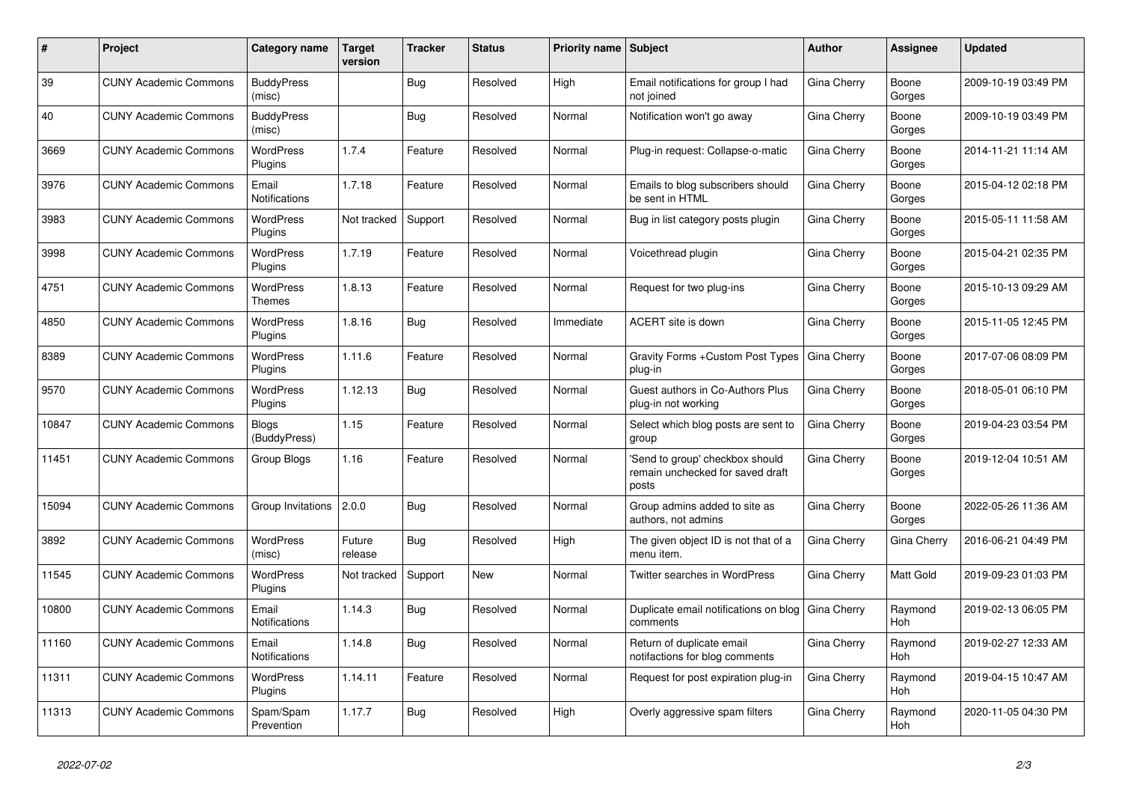| ∦     | Project                      | <b>Category name</b>          | <b>Target</b><br>version | <b>Tracker</b> | <b>Status</b> | <b>Priority name   Subject</b> |                                                                              | Author      | Assignee              | <b>Updated</b>      |
|-------|------------------------------|-------------------------------|--------------------------|----------------|---------------|--------------------------------|------------------------------------------------------------------------------|-------------|-----------------------|---------------------|
| 39    | <b>CUNY Academic Commons</b> | <b>BuddyPress</b><br>(misc)   |                          | Bug            | Resolved      | High                           | Email notifications for group I had<br>not joined                            | Gina Cherry | Boone<br>Gorges       | 2009-10-19 03:49 PM |
| 40    | <b>CUNY Academic Commons</b> | <b>BuddyPress</b><br>(misc)   |                          | Bug            | Resolved      | Normal                         | Notification won't go away                                                   | Gina Cherry | Boone<br>Gorges       | 2009-10-19 03:49 PM |
| 3669  | <b>CUNY Academic Commons</b> | <b>WordPress</b><br>Plugins   | 1.7.4                    | Feature        | Resolved      | Normal                         | Plug-in request: Collapse-o-matic                                            | Gina Cherry | Boone<br>Gorges       | 2014-11-21 11:14 AM |
| 3976  | <b>CUNY Academic Commons</b> | Email<br><b>Notifications</b> | 1.7.18                   | Feature        | Resolved      | Normal                         | Emails to blog subscribers should<br>be sent in HTML                         | Gina Cherry | Boone<br>Gorges       | 2015-04-12 02:18 PM |
| 3983  | <b>CUNY Academic Commons</b> | <b>WordPress</b><br>Plugins   | Not tracked              | Support        | Resolved      | Normal                         | Bug in list category posts plugin                                            | Gina Cherry | Boone<br>Gorges       | 2015-05-11 11:58 AM |
| 3998  | <b>CUNY Academic Commons</b> | <b>WordPress</b><br>Plugins   | 1.7.19                   | Feature        | Resolved      | Normal                         | Voicethread plugin                                                           | Gina Cherry | Boone<br>Gorges       | 2015-04-21 02:35 PM |
| 4751  | <b>CUNY Academic Commons</b> | <b>WordPress</b><br>Themes    | 1.8.13                   | Feature        | Resolved      | Normal                         | Request for two plug-ins                                                     | Gina Cherry | Boone<br>Gorges       | 2015-10-13 09:29 AM |
| 4850  | <b>CUNY Academic Commons</b> | <b>WordPress</b><br>Plugins   | 1.8.16                   | Bug            | Resolved      | Immediate                      | ACERT site is down                                                           | Gina Cherry | Boone<br>Gorges       | 2015-11-05 12:45 PM |
| 8389  | <b>CUNY Academic Commons</b> | <b>WordPress</b><br>Plugins   | 1.11.6                   | Feature        | Resolved      | Normal                         | Gravity Forms + Custom Post Types<br>plug-in                                 | Gina Cherry | Boone<br>Gorges       | 2017-07-06 08:09 PM |
| 9570  | <b>CUNY Academic Commons</b> | <b>WordPress</b><br>Plugins   | 1.12.13                  | Bug            | Resolved      | Normal                         | Guest authors in Co-Authors Plus<br>plug-in not working                      | Gina Cherry | Boone<br>Gorges       | 2018-05-01 06:10 PM |
| 10847 | <b>CUNY Academic Commons</b> | Blogs<br>(BuddyPress)         | 1.15                     | Feature        | Resolved      | Normal                         | Select which blog posts are sent to<br>group                                 | Gina Cherry | Boone<br>Gorges       | 2019-04-23 03:54 PM |
| 11451 | <b>CUNY Academic Commons</b> | Group Blogs                   | 1.16                     | Feature        | Resolved      | Normal                         | 'Send to group' checkbox should<br>remain unchecked for saved draft<br>posts | Gina Cherry | Boone<br>Gorges       | 2019-12-04 10:51 AM |
| 15094 | <b>CUNY Academic Commons</b> | Group Invitations 2.0.0       |                          | <b>Bug</b>     | Resolved      | Normal                         | Group admins added to site as<br>authors, not admins                         | Gina Cherry | Boone<br>Gorges       | 2022-05-26 11:36 AM |
| 3892  | <b>CUNY Academic Commons</b> | <b>WordPress</b><br>(misc)    | Future<br>release        | Bug            | Resolved      | High                           | The given object ID is not that of a<br>menu item.                           | Gina Cherry | Gina Cherry           | 2016-06-21 04:49 PM |
| 11545 | <b>CUNY Academic Commons</b> | <b>WordPress</b><br>Plugins   | Not tracked              | Support        | <b>New</b>    | Normal                         | <b>Twitter searches in WordPress</b>                                         | Gina Cherry | Matt Gold             | 2019-09-23 01:03 PM |
| 10800 | <b>CUNY Academic Commons</b> | Email<br><b>Notifications</b> | 1.14.3                   | <b>Bug</b>     | Resolved      | Normal                         | Duplicate email notifications on blog<br>comments                            | Gina Cherry | Raymond<br><b>Hoh</b> | 2019-02-13 06:05 PM |
| 11160 | <b>CUNY Academic Commons</b> | Email<br><b>Notifications</b> | 1.14.8                   | Bug            | Resolved      | Normal                         | Return of duplicate email<br>notifactions for blog comments                  | Gina Cherry | Raymond<br><b>Hoh</b> | 2019-02-27 12:33 AM |
| 11311 | <b>CUNY Academic Commons</b> | <b>WordPress</b><br>Plugins   | 1.14.11                  | Feature        | Resolved      | Normal                         | Request for post expiration plug-in                                          | Gina Cherry | Raymond<br>Hoh        | 2019-04-15 10:47 AM |
| 11313 | <b>CUNY Academic Commons</b> | Spam/Spam<br>Prevention       | 1.17.7                   | Bug            | Resolved      | High                           | Overly aggressive spam filters                                               | Gina Cherry | Raymond<br>Hoh        | 2020-11-05 04:30 PM |